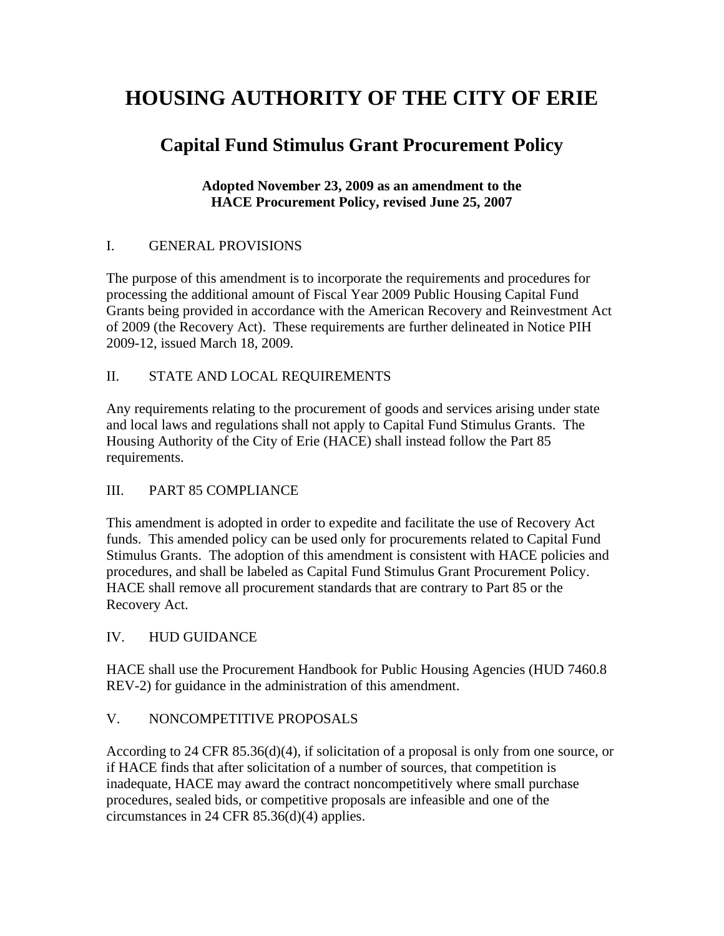# **HOUSING AUTHORITY OF THE CITY OF ERIE**

# **Capital Fund Stimulus Grant Procurement Policy**

#### **Adopted November 23, 2009 as an amendment to the HACE Procurement Policy, revised June 25, 2007**

#### I. GENERAL PROVISIONS

The purpose of this amendment is to incorporate the requirements and procedures for processing the additional amount of Fiscal Year 2009 Public Housing Capital Fund Grants being provided in accordance with the American Recovery and Reinvestment Act of 2009 (the Recovery Act). These requirements are further delineated in Notice PIH 2009-12, issued March 18, 2009.

#### II. STATE AND LOCAL REQUIREMENTS

Any requirements relating to the procurement of goods and services arising under state and local laws and regulations shall not apply to Capital Fund Stimulus Grants. The Housing Authority of the City of Erie (HACE) shall instead follow the Part 85 requirements.

# III. PART 85 COMPLIANCE

This amendment is adopted in order to expedite and facilitate the use of Recovery Act funds. This amended policy can be used only for procurements related to Capital Fund Stimulus Grants. The adoption of this amendment is consistent with HACE policies and procedures, and shall be labeled as Capital Fund Stimulus Grant Procurement Policy. HACE shall remove all procurement standards that are contrary to Part 85 or the Recovery Act.

#### IV. HUD GUIDANCE

HACE shall use the Procurement Handbook for Public Housing Agencies (HUD 7460.8 REV-2) for guidance in the administration of this amendment.

#### V. NONCOMPETITIVE PROPOSALS

According to 24 CFR 85.36(d)(4), if solicitation of a proposal is only from one source, or if HACE finds that after solicitation of a number of sources, that competition is inadequate, HACE may award the contract noncompetitively where small purchase procedures, sealed bids, or competitive proposals are infeasible and one of the circumstances in 24 CFR 85.36(d)(4) applies.